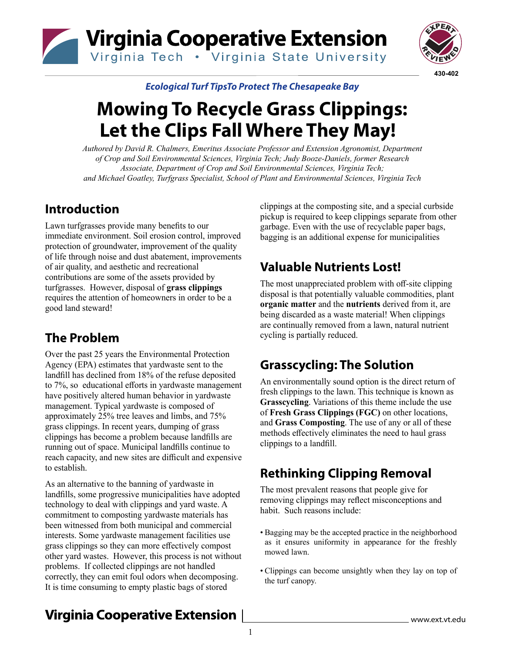



*Ecological Turf TipsTo Protect The Chesapeake Bay*

# **Mowing To Recycle Grass Clippings: Let the Clips Fall Where They May!**

*Authored by David R. Chalmers, Emeritus Associate Professor and Extension Agronomist, Department of Crop and Soil Environmental Sciences, Virginia Tech; Judy Booze-Daniels, former Research Associate, Department of Crop and Soil Environmental Sciences, Virginia Tech; and Michael Goatley, Turfgrass Specialist, School of Plant and Environmental Sciences, Virginia Tech*

#### **Introduction**

Lawn turfgrasses provide many benefits to our immediate environment. Soil erosion control, improved protection of groundwater, improvement of the quality of life through noise and dust abatement, improvements of air quality, and aesthetic and recreational contributions are some of the assets provided by turfgrasses. However, disposal of **grass clippings** requires the attention of homeowners in order to be a good land steward!

# **The Problem**

Over the past 25 years the Environmental Protection Agency (EPA) estimates that yardwaste sent to the landfill has declined from 18% of the refuse deposited to 7%, so educational efforts in yardwaste management have positively altered human behavior in yardwaste management. Typical yardwaste is composed of approximately 25% tree leaves and limbs, and 75% grass clippings. In recent years, dumping of grass clippings has become a problem because landfills are running out of space. Municipal landfills continue to reach capacity, and new sites are difficult and expensive to establish.

As an alternative to the banning of yardwaste in landfills, some progressive municipalities have adopted technology to deal with clippings and yard waste. A commitment to composting yardwaste materials has been witnessed from both municipal and commercial interests. Some yardwaste management facilities use grass clippings so they can more effectively compost other yard wastes. However, this process is not without problems. If collected clippings are not handled correctly, they can emit foul odors when decomposing. It is time consuming to empty plastic bags of stored

clippings at the composting site, and a special curbside pickup is required to keep clippings separate from other garbage. Even with the use of recyclable paper bags, bagging is an additional expense for municipalities

# **Valuable Nutrients Lost!**

The most unappreciated problem with off-site clipping disposal is that potentially valuable commodities, plant **organic matter** and the **nutrients** derived from it, are being discarded as a waste material! When clippings are continually removed from a lawn, natural nutrient cycling is partially reduced.

# **Grasscycling: The Solution**

An environmentally sound option is the direct return of fresh clippings to the lawn. This technique is known as **Grasscycling**. Variations of this theme include the use of **Fresh Grass Clippings (FGC)** on other locations, and **Grass Composting**. The use of any or all of these methods effectively eliminates the need to haul grass clippings to a landfill.

# **Rethinking Clipping Removal**

The most prevalent reasons that people give for removing clippings may reflect misconceptions and habit. Such reasons include:

- Bagging may be the accepted practice in the neighborhood as it ensures uniformity in appearance for the freshly mowed lawn.
- Clippings can become unsightly when they lay on top of the turf canopy.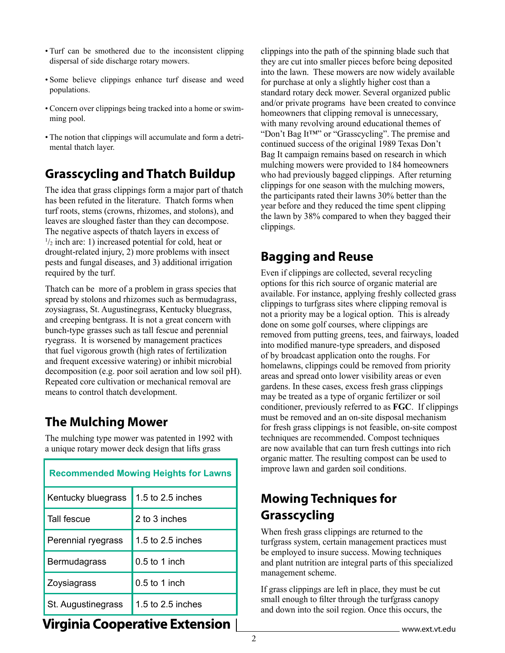- Turf can be smothered due to the inconsistent clipping dispersal of side discharge rotary mowers.
- Some believe clippings enhance turf disease and weed populations.
- Concern over clippings being tracked into a home or swimming pool.
- The notion that clippings will accumulate and form a detrimental thatch layer.

#### **Grasscycling and Thatch Buildup**

The idea that grass clippings form a major part of thatch has been refuted in the literature. Thatch forms when turf roots, stems (crowns, rhizomes, and stolons), and leaves are sloughed faster than they can decompose. The negative aspects of thatch layers in excess of  $\frac{1}{2}$  inch are: 1) increased potential for cold, heat or drought-related injury, 2) more problems with insect pests and fungal diseases, and 3) additional irrigation required by the turf.

Thatch can be more of a problem in grass species that spread by stolons and rhizomes such as bermudagrass, zoysiagrass, St. Augustinegrass, Kentucky bluegrass, and creeping bentgrass. It is not a great concern with bunch-type grasses such as tall fescue and perennial ryegrass. It is worsened by management practices that fuel vigorous growth (high rates of fertilization and frequent excessive watering) or inhibit microbial decomposition (e.g. poor soil aeration and low soil pH). Repeated core cultivation or mechanical removal are means to control thatch development.

#### **The Mulching Mower**

The mulching type mower was patented in 1992 with a unique rotary mower deck design that lifts grass

| <b>Recommended Mowing Heights for Lawns</b> |                     |  |  |  |
|---------------------------------------------|---------------------|--|--|--|
| Kentucky bluegrass                          | 1.5 to $2.5$ inches |  |  |  |
| Tall fescue                                 | 2 to 3 inches       |  |  |  |
| Perennial ryegrass                          | 1.5 to 2.5 inches   |  |  |  |
| <b>Bermudagrass</b>                         | $0.5$ to 1 inch     |  |  |  |
| Zoysiagrass                                 | $0.5$ to 1 inch     |  |  |  |
| St. Augustinegrass                          | 1.5 to 2.5 inches   |  |  |  |

clippings into the path of the spinning blade such that they are cut into smaller pieces before being deposited into the lawn. These mowers are now widely available for purchase at only a slightly higher cost than a standard rotary deck mower. Several organized public and/or private programs have been created to convince homeowners that clipping removal is unnecessary, with many revolving around educational themes of "Don't Bag It™" or "Grasscycling". The premise and continued success of the original 1989 Texas Don't Bag It campaign remains based on research in which mulching mowers were provided to 184 homeowners who had previously bagged clippings. After returning clippings for one season with the mulching mowers, the participants rated their lawns 30% better than the year before and they reduced the time spent clipping the lawn by 38% compared to when they bagged their clippings.

#### **Bagging and Reuse**

Even if clippings are collected, several recycling options for this rich source of organic material are available. For instance, applying freshly collected grass clippings to turfgrass sites where clipping removal is not a priority may be a logical option. This is already done on some golf courses, where clippings are removed from putting greens, tees, and fairways, loaded into modified manure-type spreaders, and disposed of by broadcast application onto the roughs. For homelawns, clippings could be removed from priority areas and spread onto lower visibility areas or even gardens. In these cases, excess fresh grass clippings may be treated as a type of organic fertilizer or soil conditioner, previously referred to as **FGC**. If clippings must be removed and an on-site disposal mechanism for fresh grass clippings is not feasible, on-site compost techniques are recommended. Compost techniques are now available that can turn fresh cuttings into rich organic matter. The resulting compost can be used to improve lawn and garden soil conditions.

# **Mowing Techniques for Grasscycling**

When fresh grass clippings are returned to the turfgrass system, certain management practices must be employed to insure success. Mowing techniques and plant nutrition are integral parts of this specialized management scheme.

If grass clippings are left in place, they must be cut small enough to filter through the turfgrass canopy and down into the soil region. Once this occurs, the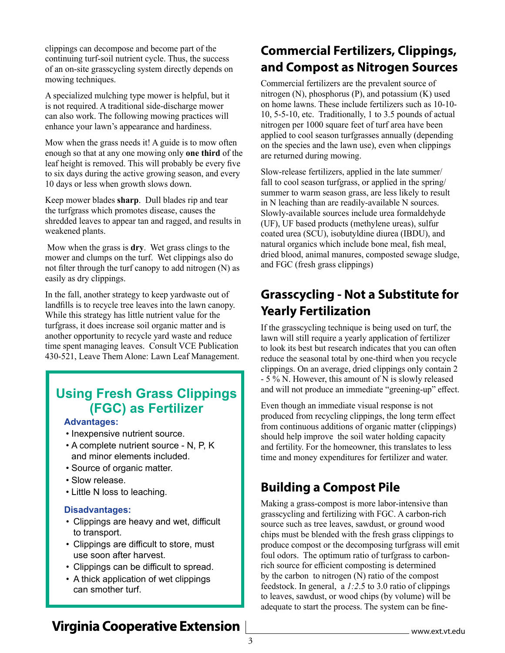clippings can decompose and become part of the continuing turf-soil nutrient cycle. Thus, the success of an on-site grasscycling system directly depends on mowing techniques.

A specialized mulching type mower is helpful, but it is not required. A traditional side-discharge mower can also work. The following mowing practices will enhance your lawn's appearance and hardiness.

Mow when the grass needs it! A guide is to mow often enough so that at any one mowing only **one third** of the leaf height is removed. This will probably be every five to six days during the active growing season, and every 10 days or less when growth slows down.

Keep mower blades **sharp**. Dull blades rip and tear the turfgrass which promotes disease, causes the shredded leaves to appear tan and ragged, and results in weakened plants.

 Mow when the grass is **dry**. Wet grass clings to the mower and clumps on the turf. Wet clippings also do not filter through the turf canopy to add nitrogen (N) as easily as dry clippings.

In the fall, another strategy to keep yardwaste out of landfills is to recycle tree leaves into the lawn canopy. While this strategy has little nutrient value for the turfgrass, it does increase soil organic matter and is another opportunity to recycle yard waste and reduce time spent managing leaves. Consult VCE Publication 430-521, Leave Them Alone: Lawn Leaf Management.

#### **Using Fresh Grass Clippings (FGC) as Fertilizer**

#### **Advantages:**

- Inexpensive nutrient source.
- A complete nutrient source N, P, K and minor elements included.
- Source of organic matter.
- Slow release.
- Little N loss to leaching.

#### **Disadvantages:**

- • Clippings are heavy and wet, difficult to transport.
- • Clippings are difficult to store, must use soon after harvest.
- • Clippings can be difficult to spread.
- A thick application of wet clippings can smother turf.

### **Commercial Fertilizers, Clippings, and Compost as Nitrogen Sources**

Commercial fertilizers are the prevalent source of nitrogen (N), phosphorus (P), and potassium (K) used on home lawns. These include fertilizers such as 10-10- 10, 5-5-10, etc. Traditionally, 1 to 3.5 pounds of actual nitrogen per 1000 square feet of turf area have been applied to cool season turfgrasses annually (depending on the species and the lawn use), even when clippings are returned during mowing.

Slow-release fertilizers, applied in the late summer/ fall to cool season turfgrass, or applied in the spring/ summer to warm season grass, are less likely to result in N leaching than are readily-available N sources. Slowly-available sources include urea formaldehyde (UF), UF based products (methylene ureas), sulfur coated urea (SCU), isobutyldine diurea (IBDU), and natural organics which include bone meal, fish meal, dried blood, animal manures, composted sewage sludge, and FGC (fresh grass clippings)

# **Grasscycling - Not a Substitute for Yearly Fertilization**

If the grasscycling technique is being used on turf, the lawn will still require a yearly application of fertilizer to look its best but research indicates that you can often reduce the seasonal total by one-third when you recycle clippings. On an average, dried clippings only contain 2 - 5 % N. However, this amount of N is slowly released and will not produce an immediate "greening-up" effect.

Even though an immediate visual response is not produced from recycling clippings, the long term effect from continuous additions of organic matter (clippings) should help improve the soil water holding capacity and fertility. For the homeowner, this translates to less time and money expenditures for fertilizer and water.

## **Building a Compost Pile**

Making a grass-compost is more labor-intensive than grasscycling and fertilizing with FGC. A carbon-rich source such as tree leaves, sawdust, or ground wood chips must be blended with the fresh grass clippings to produce compost or the decomposing turfgrass will emit foul odors. The optimum ratio of turfgrass to carbonrich source for efficient composting is determined by the carbon to nitrogen (N) ratio of the compost feedstock. In general, a *1:2*.5 to 3.0 ratio of clippings to leaves, sawdust, or wood chips (by volume) will be adequate to start the process. The system can be fine-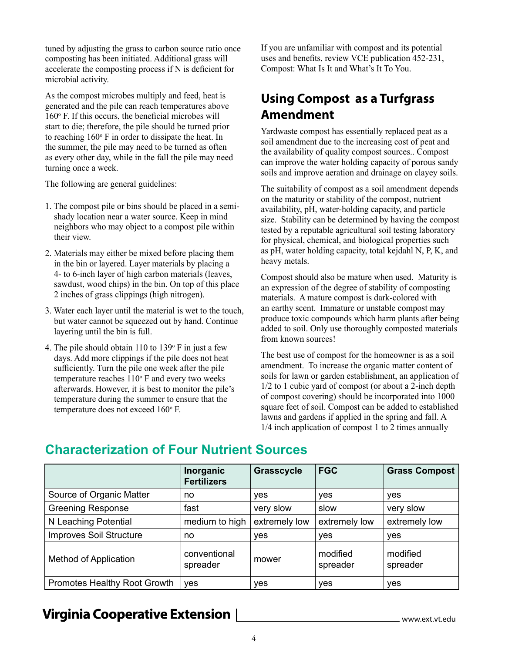tuned by adjusting the grass to carbon source ratio once composting has been initiated. Additional grass will accelerate the composting process if N is deficient for microbial activity.

As the compost microbes multiply and feed, heat is generated and the pile can reach temperatures above  $160^\circ$  F. If this occurs, the beneficial microbes will start to die; therefore, the pile should be turned prior to reaching  $160^\circ$  F in order to dissipate the heat. In the summer, the pile may need to be turned as often as every other day, while in the fall the pile may need turning once a week.

The following are general guidelines:

- 1. The compost pile or bins should be placed in a semishady location near a water source. Keep in mind neighbors who may object to a compost pile within their view.
- 2. Materials may either be mixed before placing them in the bin or layered. Layer materials by placing a 4- to 6-inch layer of high carbon materials (leaves, sawdust, wood chips) in the bin. On top of this place 2 inches of grass clippings (high nitrogen).
- 3. Water each layer until the material is wet to the touch, but water cannot be squeezed out by hand. Continue layering until the bin is full.
- 4. The pile should obtain  $110$  to  $139^\circ$  F in just a few days. Add more clippings if the pile does not heat sufficiently. Turn the pile one week after the pile temperature reaches  $110^{\circ}$  F and every two weeks afterwards. However, it is best to monitor the pile's temperature during the summer to ensure that the temperature does not exceed 160°F.

If you are unfamiliar with compost and its potential uses and benefits, review VCE publication 452-231, Compost: What Is It and What's It To You.

# **Using Compost as a Turfgrass Amendment**

Yardwaste compost has essentially replaced peat as a soil amendment due to the increasing cost of peat and the availability of quality compost sources.. Compost can improve the water holding capacity of porous sandy soils and improve aeration and drainage on clayey soils.

The suitability of compost as a soil amendment depends on the maturity or stability of the compost, nutrient availability, pH, water-holding capacity, and particle size. Stability can be determined by having the compost tested by a reputable agricultural soil testing laboratory for physical, chemical, and biological properties such as pH, water holding capacity, total kejdahl N, P, K, and heavy metals.

Compost should also be mature when used. Maturity is an expression of the degree of stability of composting materials. A mature compost is dark-colored with an earthy scent. Immature or unstable compost may produce toxic compounds which harm plants after being added to soil. Only use thoroughly composted materials from known sources!

The best use of compost for the homeowner is as a soil amendment. To increase the organic matter content of soils for lawn or garden establishment, an application of 1/2 to 1 cubic yard of compost (or about a 2-inch depth of compost covering) should be incorporated into 1000 square feet of soil. Compost can be added to established lawns and gardens if applied in the spring and fall. A 1/4 inch application of compost 1 to 2 times annually

|                                     | Inorganic<br><b>Fertilizers</b> | <b>Grasscycle</b> | <b>FGC</b>           | <b>Grass Compost</b> |
|-------------------------------------|---------------------------------|-------------------|----------------------|----------------------|
| Source of Organic Matter            | no                              | <b>ves</b>        | yes                  | yes                  |
| <b>Greening Response</b>            | fast                            | very slow         | slow                 | very slow            |
| N Leaching Potential                | medium to high                  | extremely low     | extremely low        | extremely low        |
| Improves Soil Structure             | no                              | yes               | yes                  | yes                  |
| Method of Application               | conventional<br>spreader        | mower             | modified<br>spreader | modified<br>spreader |
| <b>Promotes Healthy Root Growth</b> | yes                             | yes               | yes                  | yes                  |

#### **Characterization of Four Nutrient Sources**